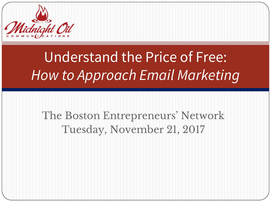

# Understand the Price of Free: *How to Approach Email Marketing*

#### The Boston Entrepreneurs' Network Tuesday, November 21, 2017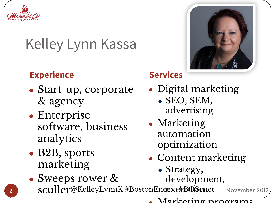

## Kelley Lynn Kassa

#### **Experience Services**

- Start-up, corporate & agency
- Enterprise software, business analytics
- B2B, sports marketing

- Digital marketing
	- SEO, SEM, advertising
- Marketing automation optimization
- Content marketing
	- Strategy, development,

 $\verb|scull|$ er@KelleyLynnK #BostonEneexet&@@met • Sweeps rower & November 2017

Marketing programs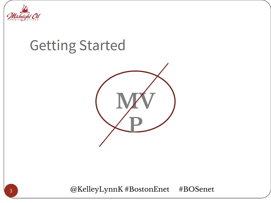

#### Getting Started



@KelleyLynnK #BostonEnet #BOSenet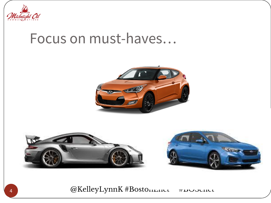

#### Focus on must-haves…





@KelleyLynnK #BostonEnce #BOStonEnet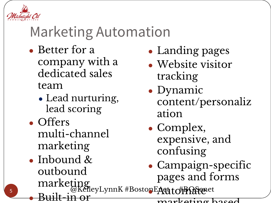

5

### Marketing Automation

- Better for a company with a dedicated sales team
	- Lead nurturing, lead scoring
- Offers multi-channel marketing
- @KelleyLynnK#BostonEAqt t #BOSgenet • Inbound & outbound marketing ● Built-in or **PEAUtorPAtexce**
- Landing pages
- Website visitor tracking
- Dynamic content/personaliz ation
- Complex, expensive, and confusing
- Campaign-specific pages and forms

marketing based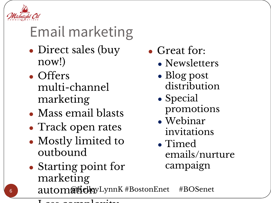

# Email marketing

- Direct sales (buy now!)
- Offers multi-channel marketing
- Mass email blasts
- Track open rates
- Mostly limited to outbound
- Starting point for marketing
- Great for:
	- Newsletters
	- Blog post distribution
	- Special promotions
	- Webinar invitations
	- Timed emails/nurture campaign

autom@ttclpyLynnK#BostonEnet #BOSenet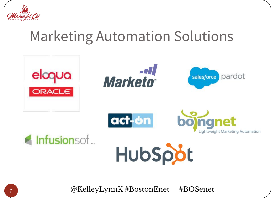

#### Marketing Automation Solutions



@KelleyLynnK #BostonEnet #BOSenet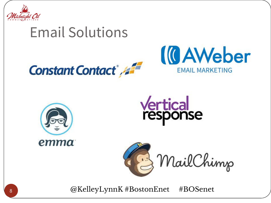

#### Email Solutions











@KelleyLynnK #BostonEnet #BOSenet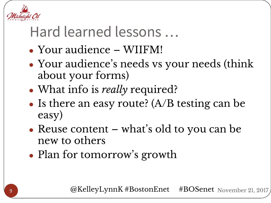

#### Hard learned lessons …

- Your audience WIIFM!
- Your audience's needs vs your needs (think about your forms)
- What info is *really* required?
- Is there an easy route?  $(A/B$  testing can be easy)
- Reuse content what's old to you can be new to others
- Plan for tomorrow's growth

@KelleyLynnK #BostonEnet #BOSenet November 21, 2017